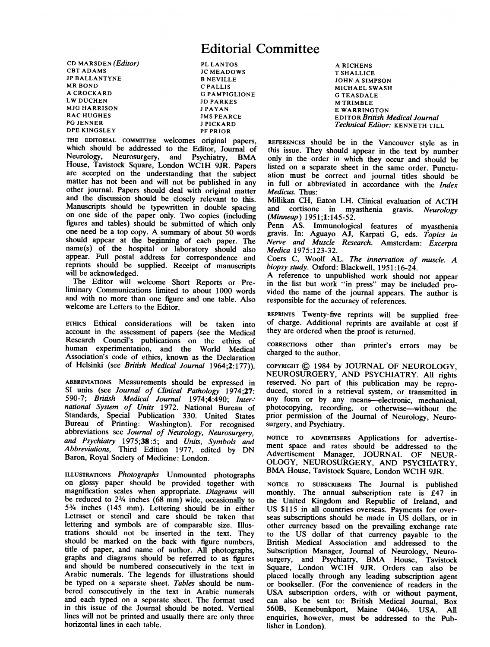# Editorial Committee

CD MARSDEN (*Editor*) PL LANTOS<br>
CBT ADAMS
IC MEADON JP BALLANTYNE<br>MR BOND MR BOND C PALLIS<br>A CROCKARD G PAMPIC A CROCKARD G PAMPIGLIONE MJG HARRISON<br>RAC HUGHES PG JENNER<br>
DPE KINGSLEY<br>
PF PRIOR DPE KINGSLEY

JC MEADOWS<br>B NEVILLE JD PARKES<br>J PAYAN **JMS PEARCE** 

THE EDITORIAL COMMITTEE welcomes original papers, which should be addressed to the Editor, Journal of Neurology, Neurosurgery, and Psychiatry, BMA House, Tavistock Square, London WC1H 9JR. Papers are accepted on the understanding that the subject matter has not been and will not be published in any other journal. Papers should deal with original matter and the discussion should be closely relevant to this. Manuscripts should be typewritten in double spacing on one side of the paper only. Two copies (including figures and tables) should be submitted of which only one need be <sup>a</sup> top copy. A summary of about <sup>50</sup> words should appear at the beginning of each paper. The name(s) of the hospital or laboratory should also appear. Full postal address for correspondence and reprints should be supplied. Receipt of manuscripts will be acknowledged.

The Editor will welcome Short Reports or Preliminary Communications limited to about 1000 words and with no more than one figure and one table. Also welcome are Letters to the Editor.

ETHICS Ethical considerations will be taken into account in the assessment of papers (see the Medical Research Council's publications on the ethics of human experimentation, and the World Medical Association's code of ethics, known as the Declaration of Helsinki (see British Medical Journal 1964;2:177)).

ABBREVIATIONS Measurements should be expressed in SI units (see Journal of Clinical Pathology 1974:27: 590-7; British Medical Journal 1974;4:490; Inter-' national System of Units 1972. National Bureau of Standards, Special Publication 330. United States Bureau of Printing: Washington). For recognised abbreviations see Journal of Neurology, Neurosurgery, and Psychiatry 1975;38:5; and Units, Symbols and Abbreviations, Third Edition 1977, edited by DN Baron, Royal Society of Medicine: London.

ILLUSTRATIONS Photographs Unmounted photographs on glossy paper should be provided together with magnification scales when appropriate. Diagrams will be reduced to 23/4 inches (68 mm) wide, occasionally to 53/4 inches (145 mm). Lettering should be in either Letraset or stencil and care should be taken that lettering and symbols are of comparable size. Illustrations should not be inserted in the text. They should be marked on the back with figure numbers, title of paper, and name of author. All photographs, graphs and diagrams should be referred to as figures and should be numbered consecutively in the text in Arabic numerals. The legends for illustrations should be typed on a separate sheet. Tables should be numbered consecutively in the text in Arabic numerals and each typed on a separate sheet. The format used in this issue of the Journal should be noted. Vertical lines will not be printed and usually there are only three horizontal lines in each table.

A RICHENS T SHALLICE JOHN A SIMPSON MICHAEL SWASH G TEASDALE **M TRIMBLE** E WARRINGTON EDITOR British Medical Journal Technical Editor: KENNETH TILL

REFERENCES should be in the Vancouver style as in this issue. They should appear in the text by number only in the order in which they occur and should be listed on a separate sheet in the same order. Punctuation must be correct and journal titles should be in full or abbreviated in accordance with the Index Medicus. Thus:

Millikan CH, Eaton LH. Clinical evaluation of ACTH and cortisone in myasthenia gravis. Neurology (Minneap) 1951;1:145-52.

Penn AS. Immunological features of myasthenia gravis. In: Aguayo AJ, Karpati G, eds. Topics in Nerve and Muscle Research. Amsterdam: Excerpta<br>Medica 1975:123-32.

Coers C, Woolf AL. The innervation of muscle. A biopsy study. Oxford: Blackwell, 1951:16-24.<br>A reference to unpublished work should not appear

A reference to unpublished work in the list but work "in press" may be included pro-<br>vided the name of the journal appears. The author is responsible for the accuracy of references.

REPRINTS Twenty-five reprints will be supplied free of charge. Additional reprints are available at cost if they are ordered when the proof is returned.

CORRECI1ONS other than printer's errors may be charged to the author.

COPYRIGHT © <sup>1984</sup> by JOURNAL OF NEUROLOGY, NEUROSURGERY, AND PSYCHIATRY. All rights reserved. No part of this publication may be repro duced, stored in a retrieval system, or transmitted in any form or by any means-electronic, mechanical, photocopying, recording, or otherwise-without the prior permission of the Journal of Neurology, Neurosurgery, and Psychiatry.

NOTICE TO ADVERTISERS Applications for advertisement space and rates should be addressed to the Advertisement Manager, JOURNAL OF NEUR-OLOGY, NEUROSURGERY, AND PSYCHIATRY, BMA House, Tavistock Square, London WC1H 9JR.

NOTICE TO SUBSCRIBERS The Journal is published monthly. The annual subscription rate is £47 in the United Kingdom and Republic of Ireland, and US \$115 in all countries overseas. Payments for overseas subscriptions should be made in US dollars, or in other currency based on the prevailing exchange rate to the US dollar of that currency payable to the British Medical Association and addressed to the Subscription Manager, Journal of Neurology, Neurosurgery, and Psychiatry, BMA House, Tavistock Square, London WC1H 9JR. Orders can also be placed locally through any leading subscription agent or bookseller. (For the convenience of readers in the USA subscription orders, with or without payment, can also be sent to: British Medical Journal, Box 560B, Kennebunkport, Maine 04046. USA. All enquiries, however, must be addressed to the Publisher in London).